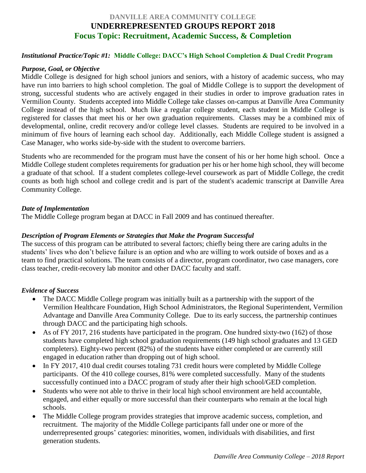# **DANVILLE AREA COMMUNITY COLLEGE UNDERREPRESENTED GROUPS REPORT 2018 Focus Topic: Recruitment, Academic Success, & Completion**

#### *Institutional Practice/Topic #1:* **Middle College: DACC's High School Completion & Dual Credit Program**

#### *Purpose, Goal, or Objective*

Middle College is designed for high school juniors and seniors, with a history of academic success, who may have run into barriers to high school completion. The goal of Middle College is to support the development of strong, successful students who are actively engaged in their studies in order to improve graduation rates in Vermilion County. Students accepted into Middle College take classes on-campus at Danville Area Community College instead of the high school. Much like a regular college student, each student in Middle College is registered for classes that meet his or her own graduation requirements. Classes may be a combined mix of developmental, online, credit recovery and/or college level classes. Students are required to be involved in a minimum of five hours of learning each school day. Additionally, each Middle College student is assigned a Case Manager, who works side-by-side with the student to overcome barriers.

Students who are recommended for the program must have the consent of his or her home high school. Once a Middle College student completes requirements for graduation per his or her home high school, they will become a graduate of that school. If a student completes college-level coursework as part of Middle College, the credit counts as both high school and college credit and is part of the student's academic transcript at Danville Area Community College.

#### *Date of Implementation*

The Middle College program began at DACC in Fall 2009 and has continued thereafter.

#### *Description of Program Elements or Strategies that Make the Program Successful*

The success of this program can be attributed to several factors; chiefly being there are caring adults in the students' lives who don't believe failure is an option and who are willing to work outside of boxes and as a team to find practical solutions. The team consists of a director, program coordinator, two case managers, core class teacher, credit-recovery lab monitor and other DACC faculty and staff.

#### *Evidence of Success*

- The DACC Middle College program was initially built as a partnership with the support of the Vermilion Healthcare Foundation, High School Administrators, the Regional Superintendent, Vermilion Advantage and Danville Area Community College. Due to its early success, the partnership continues through DACC and the participating high schools.
- As of FY 2017, 216 students have participated in the program. One hundred sixty-two (162) of those students have completed high school graduation requirements (149 high school graduates and 13 GED completers). Eighty-two percent (82%) of the students have either completed or are currently still engaged in education rather than dropping out of high school.
- In FY 2017, 410 dual credit courses totaling 731 credit hours were completed by Middle College participants. Of the 410 college courses, 81% were completed successfully. Many of the students successfully continued into a DACC program of study after their high school/GED completion.
- Students who were not able to thrive in their local high school environment are held accountable, engaged, and either equally or more successful than their counterparts who remain at the local high schools.
- The Middle College program provides strategies that improve academic success, completion, and recruitment. The majority of the Middle College participants fall under one or more of the underrepresented groups' categories: minorities, women, individuals with disabilities, and first generation students.